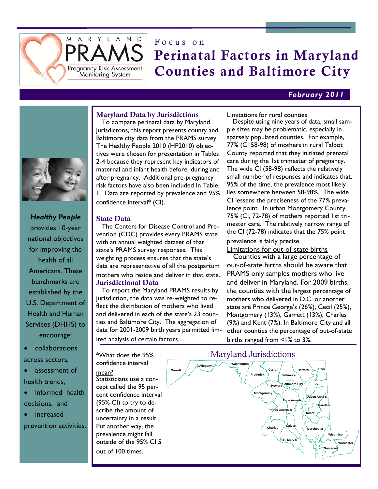

# Focus on Perinatal Factors in Maryland Counties and Baltimore City

### *February 2011*



 To compare perinatal data by Maryland jurisdictons, this report presents county and Baltimore city data from the PRAMS survey. The Healthy People 2010 (HP2010) objectives were chosen for presentation in Tables 2-4 because they represent key indicators of maternal and infant health before, during and after pregnancy. Additional pre-pregnancy risk factors have also been included In Table 1. Data are reported by prevalence and 95% confidence interval\* (CI).

#### State Data

 The Centers for Disease Control and Prevention (CDC) provides every PRAMS state with an annual weighted dataset of that state's PRAMS survey responses. This weighting process ensures that the state's data are representative of all the postpartum mothers who reside and deliver in that state. Jurisdictional Data

 To report the Maryland PRAMS results by jurisdiction, the data was re-weighted to reflect the distribution of mothers who lived and delivered in each of the state's 23 counties and Baltimore City. The aggregation of data for 2001-2009 birth years permitted limited analysis of certain factors.

\*What does the 95% confidence interval mean? Statisticians use a concept called the 95 percent confidence interval (95% CI) to try to describe the amount of uncertainty in a result. Put another way, the prevalence might fall outside of the 95% CI 5 out of 100 times.

Limitations for rural counties

 Despite using nine years of data, small sample sizes may be problematic, especially in sparsely populated counties. For example, 77% (CI 58-98) of mothers in rural Talbot County reported that they initiated prenatal care during the 1st trimester of pregnancy. The wide CI (58-98) reflects the relatively small number of responses and indicates that, 95% of the time, the prevalence most likely lies somewhere between 58-98%. The wide CI lessens the preciseness of the 77% prevalence point. In urban Montgomery County, 75% (CI, 72-78) of mothers reported 1st trimester care. The relatively narrow range of the CI (72-78) indicates that the 75% point

prevalence is fairly precise.

Limitations for out-of-state births

 Counties with a large percentage of out-of-state births should be aware that PRAMS only samples mothers who live and deliver in Maryland. For 2009 births, the counties with the largest percentage of mothers who delivered in D.C. or another state are Prince George's (26%), Cecil (25%), Montgomery (13%), Garrett (13%), Charles (9%) and Kent (7%). In Baltimore City and all other counties the percentage of out-of-state births ranged from <1% to 3%.





- collaborations across sectors,
- assessment of health trends,
- informed health decisions, and
- increased

prevention activities.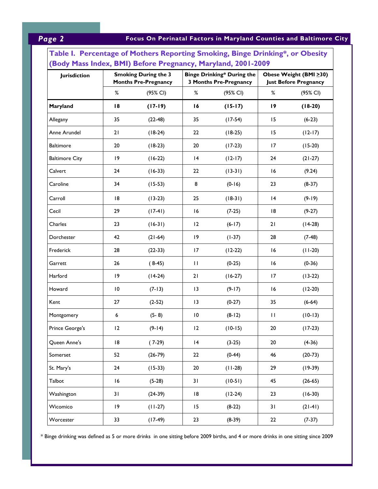## *Page 2* **Focus On Perinatal Factors in Maryland Counties and Baltimore City**

| Table I. Percentage of Mothers Reporting Smoking, Binge Drinking*, or Obesity<br>(Body Mass Index, BMI) Before Pregnancy, Maryland, 2001-2009 |                 |                                                            |                 |                                                                    |        |                                                         |  |
|-----------------------------------------------------------------------------------------------------------------------------------------------|-----------------|------------------------------------------------------------|-----------------|--------------------------------------------------------------------|--------|---------------------------------------------------------|--|
| Jurisdiction                                                                                                                                  |                 | <b>Smoking During the 3</b><br><b>Months Pre-Pregnancy</b> |                 | <b>Binge Drinking* During the</b><br><b>3 Months Pre-Pregnancy</b> |        | Obese Weight (BMI > 30)<br><b>Just Before Pregnancy</b> |  |
|                                                                                                                                               | $\%$            | (95% CI)                                                   | %               | (95% CI)                                                           | $\%$   | (95% CI)                                                |  |
| Maryland                                                                                                                                      | 18              | $(17-19)$                                                  | 16              | $(15-17)$                                                          | 19     | $(18-20)$                                               |  |
| Allegany                                                                                                                                      | 35              | $(22-48)$                                                  | 35              | $(17-54)$                                                          | 15     | $(6-23)$                                                |  |
| Anne Arundel                                                                                                                                  | 21              | $(18-24)$                                                  | 22              | $(18-25)$                                                          | 15     | $(12-17)$                                               |  |
| <b>Baltimore</b>                                                                                                                              | 20              | $(18-23)$                                                  | 20              | $(17-23)$                                                          | 17     | $(15-20)$                                               |  |
| <b>Baltimore City</b>                                                                                                                         | 9               | $(16-22)$                                                  | 4               | $(12-17)$                                                          | 24     | $(21-27)$                                               |  |
| Calvert                                                                                                                                       | 24              | $(16-33)$                                                  | 22              | $(13-31)$                                                          | 16     | (9.24)                                                  |  |
| Caroline                                                                                                                                      | 34              | $(15-53)$                                                  | 8               | $(0-16)$                                                           | 23     | $(8-37)$                                                |  |
| Carroll                                                                                                                                       | 8               | $(13-23)$                                                  | 25              | $(18-31)$                                                          | 4      | $(9-19)$                                                |  |
| Cecil                                                                                                                                         | 29              | $(17-41)$                                                  | 16              | $(7-25)$                                                           | 18     | $(9-27)$                                                |  |
| Charles                                                                                                                                       | 23              | $(16-31)$                                                  | 12              | $(6-17)$                                                           | 21     | $(14-28)$                                               |  |
| Dorchester                                                                                                                                    | 42              | $(21-64)$                                                  | 19              | $(1-37)$                                                           | 28     | $(7-48)$                                                |  |
| Frederick                                                                                                                                     | 28              | $(22-33)$                                                  | 17              | $(12-22)$                                                          | 16     | $(11-20)$                                               |  |
| Garrett                                                                                                                                       | 26              | $(8-45)$                                                   | $\mathbf{H}$    | $(0-25)$                                                           | 16     | $(0-36)$                                                |  |
| Harford                                                                                                                                       | 9               | $(14-24)$                                                  | 21              | $(16-27)$                                                          | 17     | $(13-22)$                                               |  |
| Howard                                                                                                                                        | $\overline{10}$ | $(7-13)$                                                   | 13              | $(9-17)$                                                           | 16     | $(12-20)$                                               |  |
| Kent                                                                                                                                          | 27              | $(2-52)$                                                   | 13              | $(0-27)$                                                           | 35     | $(6-64)$                                                |  |
| Montgomery                                                                                                                                    | 6               | $(5-8)$                                                    | $\overline{10}$ | $(8-12)$                                                           | П      | $(10-13)$                                               |  |
| Prince George's                                                                                                                               | 12              | $(9-14)$                                                   | 12              | $(10-15)$                                                          | $20\,$ | $(17-23)$                                               |  |
| Queen Anne's                                                                                                                                  | 18              | $(7-29)$                                                   | 4               | $(3-25)$                                                           | $20\,$ | $(4-36)$                                                |  |
| Somerset                                                                                                                                      | 52              | $(26-79)$                                                  | 22              | $(0-44)$                                                           | 46     | $(20-73)$                                               |  |
| St. Mary's                                                                                                                                    | 24              | $(15-33)$                                                  | 20              | $(11-28)$                                                          | 29     | $(19-39)$                                               |  |
| Talbot                                                                                                                                        | 16              | $(5-28)$                                                   | 31              | $(10-51)$                                                          | 45     | $(26-65)$                                               |  |
| Washington                                                                                                                                    | 31              | $(24-39)$                                                  | 18              | $(12-24)$                                                          | 23     | $(16-30)$                                               |  |
| Wicomico                                                                                                                                      | 9               | $(11-27)$                                                  | 15              | $(8-22)$                                                           | 31     | $(21-41)$                                               |  |
| Worcester                                                                                                                                     | 33              | $(17-49)$                                                  | 23              | $(8-39)$                                                           | 22     | $(7-37)$                                                |  |

\* Binge drinking was defined as 5 or more drinks in one sitting before 2009 births, and 4 or more drinks in one sitting since 2009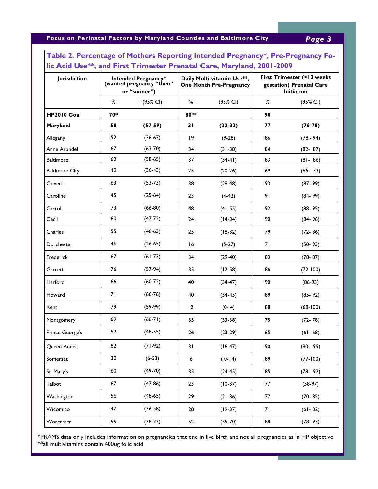**Focus on Perinatal Factors by Maryland Counties and Baltimore City** *Page 3* 

| <b>Jurisdiction</b>   | <b>Intended Pregnancy*</b><br>(wanted pregnancy "then"<br>or "sooner") |           | Daily Multi-vitamin Use**,<br><b>One Month Pre-Pregnancy</b> |           | First Trimester (<13 weeks<br>gestation) Prenatal Care<br>Initiation |             |
|-----------------------|------------------------------------------------------------------------|-----------|--------------------------------------------------------------|-----------|----------------------------------------------------------------------|-------------|
|                       | %                                                                      | (95% CI)  | %                                                            | (95% CI)  | %                                                                    | (95% CI)    |
| <b>HP2010 Goal</b>    | 70*                                                                    |           | 80**                                                         |           | 90                                                                   |             |
| Maryland              | 58                                                                     | $(57-59)$ | 31                                                           | $(30-32)$ | 77                                                                   | $(76-78)$   |
| Allegany              | 52                                                                     | $(36-67)$ | 19                                                           | $(9-28)$  | 86                                                                   | $(78.-94)$  |
| Anne Arundel          | 67                                                                     | $(63-70)$ | 34                                                           | $(31-38)$ | 84                                                                   | $(82 - 87)$ |
| <b>Baltimore</b>      | 62                                                                     | $(58-65)$ | 37                                                           | $(34-41)$ | 83                                                                   | $(81 - 86)$ |
| <b>Baltimore City</b> | 40                                                                     | $(36-43)$ | 23                                                           | $(20-26)$ | 69                                                                   | $(66 - 73)$ |
| Calvert               | 63                                                                     | $(53-73)$ | 38                                                           | $(28-48)$ | 93                                                                   | $(87 - 99)$ |
| Caroline              | 45                                                                     | $(25-64)$ | 23                                                           | $(4-42)$  | 91                                                                   | $(84 - 99)$ |
| Carroll               | 73                                                                     | $(66-80)$ | 48                                                           | $(41-55)$ | 92                                                                   | $(88-95)$   |
| Cecil                 | 60                                                                     | $(47-72)$ | 24                                                           | $(14-34)$ | 90                                                                   | $(84 - 96)$ |
| Charles               | 55                                                                     | $(46-63)$ | 25                                                           | $(18-32)$ | 79                                                                   | $(72 - 86)$ |
| Dorchester            | 46                                                                     | $(26-65)$ | 16                                                           | $(5-27)$  | 71                                                                   | $(50 - 93)$ |
| Frederick             | 67                                                                     | $(61-73)$ | 34                                                           | $(29-40)$ | 83                                                                   | $(78-87)$   |
| Garrett               | 76                                                                     | $(57-94)$ | 35                                                           | $(12-58)$ | 86                                                                   | $(72-100)$  |
| Harford               | 66                                                                     | $(60-72)$ | 40                                                           | $(34-47)$ | 90                                                                   | $(86-93)$   |
| Howard                | 71                                                                     | $(66-76)$ | 40                                                           | $(34-45)$ | 89                                                                   | $(85 - 92)$ |
| Kent                  | 79                                                                     | $(59-99)$ | $\overline{2}$                                               | $(0-4)$   | 88                                                                   | $(68-100)$  |
| Montgomery            | 69                                                                     | $(66-71)$ | 35                                                           | $(33-38)$ | 75                                                                   | $(72 - 78)$ |
| Prince George's       | 52                                                                     | $(48-55)$ | 26                                                           | $(23-29)$ | 65                                                                   | $(61 - 68)$ |
| Queen Anne's          | 82                                                                     | $(71-92)$ | 31                                                           | $(16-47)$ | 90                                                                   | $(80 - 99)$ |
| Somerset              | 30                                                                     | $(6-53)$  | 6                                                            | $(0-14)$  | 89                                                                   | $(77-100)$  |
| St. Mary's            | 60                                                                     | $(49-70)$ | 35                                                           | $(24-45)$ | 85                                                                   | $(78-92)$   |
| Talbot                | 67                                                                     | $(47-86)$ | 23                                                           | $(10-37)$ | 77                                                                   | $(58-97)$   |
| Washington            | 56                                                                     | $(48-65)$ | 29                                                           | $(21-36)$ | 77                                                                   | $(70 - 85)$ |
| Wicomico              | 47                                                                     | $(36-58)$ | 28                                                           | $(19-37)$ | 71                                                                   | $(61 - 82)$ |
| Worcester             | 55                                                                     | $(38-73)$ | 52                                                           | $(35-70)$ | 88                                                                   | $(78-97)$   |

## **Table 2. Percentage of Mothers Reporting Intended Pregnancy\*, Pre-Pregnancy Folic Acid Use\*\*, and First Trimester Prenatal Care, Maryland, 2001-2009**

\*PRAMS data only includes information on pregnancies that end in live birth and not all pregnancies as in HP objective \*\*all multivitamins contain 400ug folic acid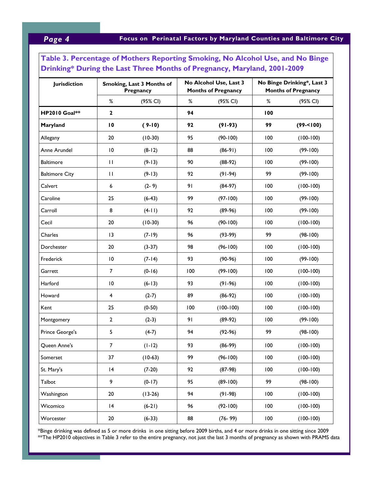## **Table 3. Percentage of Mothers Reporting Smoking, No Alcohol Use, and No Binge Drinking\* During the Last Three Months of Pregnancy, Maryland, 2001-2009**

| <b>Jurisdiction</b>   | Smoking, Last 3 Months of<br>Pregnancy |           | No Alcohol Use, Last 3<br><b>Months of Pregnancy</b> |              | No Binge Drinking*, Last 3<br><b>Months of Pregnancy</b> |               |
|-----------------------|----------------------------------------|-----------|------------------------------------------------------|--------------|----------------------------------------------------------|---------------|
|                       | %                                      | (95% CI)  | $\%$                                                 | (95% CI)     | %                                                        | (95% CI)      |
| <b>HP2010 Goal**</b>  | $\mathbf{2}$                           |           | 94                                                   |              | 100                                                      |               |
| Maryland              | $\overline{10}$                        | $(9-10)$  | 92                                                   | $(91-93)$    | 99                                                       | $(99 - 100)$  |
| Allegany              | 20                                     | $(10-30)$ | 95                                                   | $(90 - 100)$ | 100                                                      | $(100-100)$   |
| Anne Arundel          | $\overline{10}$                        | $(8-12)$  | 88                                                   | $(86-91)$    | 100                                                      | $(99-100)$    |
| <b>Baltimore</b>      | $\mathbf{H}$                           | $(9-13)$  | 90                                                   | $(88-92)$    | 100                                                      | $(99-100)$    |
| <b>Baltimore City</b> | $\mathbf{H}$                           | $(9-13)$  | 92                                                   | $(91-94)$    | 99                                                       | $(99-100)$    |
| Calvert               | 6                                      | $(2-9)$   | 91                                                   | $(84-97)$    | 100                                                      | $(100-100)$   |
| Caroline              | 25                                     | $(6-43)$  | 99                                                   | $(97 - 100)$ | 100                                                      | $(99-100)$    |
| Carroll               | 8                                      | $(4-11)$  | 92                                                   | $(89-96)$    | 100                                                      | $(99-100)$    |
| Cecil                 | 20                                     | $(10-30)$ | 96                                                   | $(90-100)$   | 100                                                      | $(100-100)$   |
| Charles               | 13                                     | $(7-19)$  | 96                                                   | $(93-99)$    | 99                                                       | $(98-100)$    |
| Dorchester            | 20                                     | $(3-37)$  | 98                                                   | $(96-100)$   | 100                                                      | $(100-100)$   |
| Frederick             | $\overline{10}$                        | $(7-14)$  | 93                                                   | $(90-96)$    | 100                                                      | $(99-100)$    |
| Garrett               | $\overline{7}$                         | $(0-16)$  | 100                                                  | $(99-100)$   | 100                                                      | $(100-100)$   |
| Harford               | $\overline{10}$                        | $(6-13)$  | 93                                                   | $(91-96)$    | 100                                                      | $(100-100)$   |
| Howard                | 4                                      | $(2-7)$   | 89                                                   | $(86-92)$    | 100                                                      | $(100 - 100)$ |
| Kent                  | 25                                     | $(0-50)$  | 100                                                  | $(100-100)$  | 100                                                      | $(100-100)$   |
| Montgomery            | 2                                      | $(2-3)$   | 91                                                   | $(89-92)$    | 100                                                      | $(99-100)$    |
| Prince George's       | 5                                      | $(4-7)$   | 94                                                   | $(92-96)$    | 99                                                       | $(98-100)$    |
| Queen Anne's          | $\overline{7}$                         | $(1-12)$  | 93                                                   | $(86-99)$    | 100                                                      | $(100-100)$   |
| Somerset              | 37                                     | $(10-63)$ | 99                                                   | $(96 - 100)$ | 100                                                      | $(100-100)$   |
| St. Mary's            | 4                                      | $(7-20)$  | 92                                                   | $(87-98)$    | 100                                                      | $(100-100)$   |
| Talbot                | 9                                      | $(0-17)$  | 95                                                   | $(89-100)$   | 99                                                       | $(98-100)$    |
| Washington            | 20                                     | $(13-26)$ | 94                                                   | $(91-98)$    | 100                                                      | $(100-100)$   |
| Wicomico              | 4                                      | $(6-21)$  | 96                                                   | $(92 - 100)$ | 100                                                      | $(100-100)$   |
| Worcester             | 20                                     | $(6-33)$  | 88                                                   | $(76 - 99)$  | 100                                                      | $(100-100)$   |

\*Binge drinking was defined as 5 or more drinks in one sitting before 2009 births, and 4 or more drinks in one sitting since 2009 \*\*The HP2010 objectives in Table 3 refer to the entire pregnancy, not just the last 3 months of pregnancy as shown with PRAMS data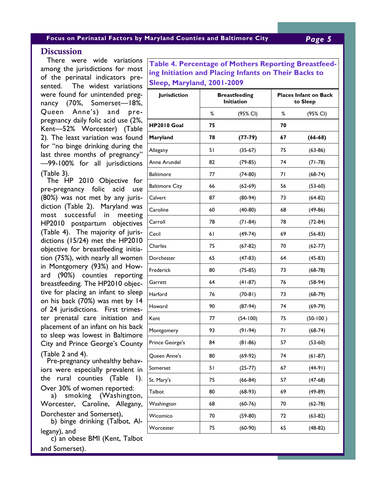#### **Focus on Perinatal Factors by Maryland Counties and Baltimore City** *Page 5*

### **Discussion**

 There were wide variations among the jurisdictions for most of the perinatal indicators presented. The widest variations were found for unintended pregnancy (70%, Somerset—18%, Queen Anne's) and prepregnancy daily folic acid use (2%, Kent—52% Worcester) (Table 2). The least variation was found for "no binge drinking during the last three months of pregnancy" —99-100% for all jurisdictions (Table 3).

 The HP 2010 Objective for pre-pregnancy folic acid use (80%) was not met by any jurisdiction (Table 2). Maryland was most successful in meeting HP2010 postpartum objectives (Table 4). The majority of jurisdictions (15/24) met the HP2010 objective for breastfeeding initiation (75%), with nearly all women in Montgomery (93%) and Howard (90%) counties reporting breastfeeding. The HP2010 objective for placing an infant to sleep on his back (70%) was met by 14 of 24 jurisdictions. First trimester prenatal care initiation and placement of an infant on his back to sleep was lowest in Baltimore City and Prince George's County (Table 2 and 4).

 Pre-pregnancy unhealthy behaviors were especially prevalent in the rural counties (Table 1). Over 30% of women reported:

 a) smoking (Washington, Worcester, Caroline, Allegany,

Dorchester and Somerset),

 b) binge drinking (Talbot, Allegany), and

 c) an obese BMI (Kent, Talbot and Somerset).

**able 1II. Percentage of Mothers Reporting Smoking, Alcohol Abstinence During Pregnancy, Maryland, 2001-2009 Sleep, Maryland, 2001-2009 Table 4. Percentage of Mothers Reporting Breastfeeding Initiation and Placing Infants on Their Backs to** 

| <b>Jurisdiction</b>   | <b>Breastfeeding</b><br><b>Initiation</b> |            | <b>Places Infant on Back</b><br>to Sleep |            |  |
|-----------------------|-------------------------------------------|------------|------------------------------------------|------------|--|
|                       | %                                         | (95% CI)   | %                                        | (95% CI)   |  |
| <b>HP2010 Goal</b>    | 75                                        |            | 70                                       |            |  |
| Maryland              | 78                                        | $(77-79)$  | 67                                       | $(66-68)$  |  |
| Allegany              | 51                                        | $(35-67)$  | 75                                       | $(63-86)$  |  |
| Anne Arundel          | 82                                        | $(79-85)$  | 74                                       | $(71-78)$  |  |
| <b>Baltimore</b>      | 77                                        | $(74-80)$  | 71                                       | $(68-74)$  |  |
| <b>Baltimore City</b> | 66                                        | $(62-69)$  | 56                                       | $(53-60)$  |  |
| Calvert               | 87                                        | $(80-94)$  | 73                                       | $(64-82)$  |  |
| Caroline              | 60                                        | $(40-80)$  | 68                                       | $(49-86)$  |  |
| Carroll               | 78                                        | $(71-84)$  | 78                                       | $(72-84)$  |  |
| Cecil                 | 61                                        | $(49-74)$  | 69                                       | $(56-83)$  |  |
| Charles               | 75                                        | $(67-82)$  | 70                                       | $(62-77)$  |  |
| Dorchester            | 65                                        | $(47-83)$  | 64                                       | $(45-83)$  |  |
| Frederick             | 80                                        | $(75-85)$  | 73                                       | $(68-78)$  |  |
| Garrett               | 64                                        | $(41-87)$  | 76                                       | $(58-94)$  |  |
| Harford               | 76                                        | $(70-81)$  | 73                                       | $(68-79)$  |  |
| Howard                | 90                                        | $(87-94)$  | 74                                       | $(69-79)$  |  |
| Kent                  | 77                                        | $(54-100)$ | 75                                       | $(50-100)$ |  |
| Montgomery            | 93                                        | $(91-94)$  | 71                                       | $(68-74)$  |  |
| Prince George's       | 84                                        | $(81-86)$  | 57                                       | $(53-60)$  |  |
| Queen Anne's          | 80                                        | $(69-92)$  | 74                                       | $(61-87)$  |  |
| Somerset              | 51                                        | $(25-77)$  | 67                                       | (44-91)    |  |
| St. Mary's            | 75                                        | $(66-84)$  | 57                                       | $(47-68)$  |  |
| Talbot                | 80                                        | $(68-93)$  | 69                                       | $(49-89)$  |  |
| Washington            | 68                                        | $(60-76)$  | 70                                       | $(62-78)$  |  |
| Wicomico              | 70                                        | $(59-80)$  | 72                                       | $(63-82)$  |  |
| Worcester             | 75                                        | $(60-90)$  | 65                                       | $(48-82)$  |  |